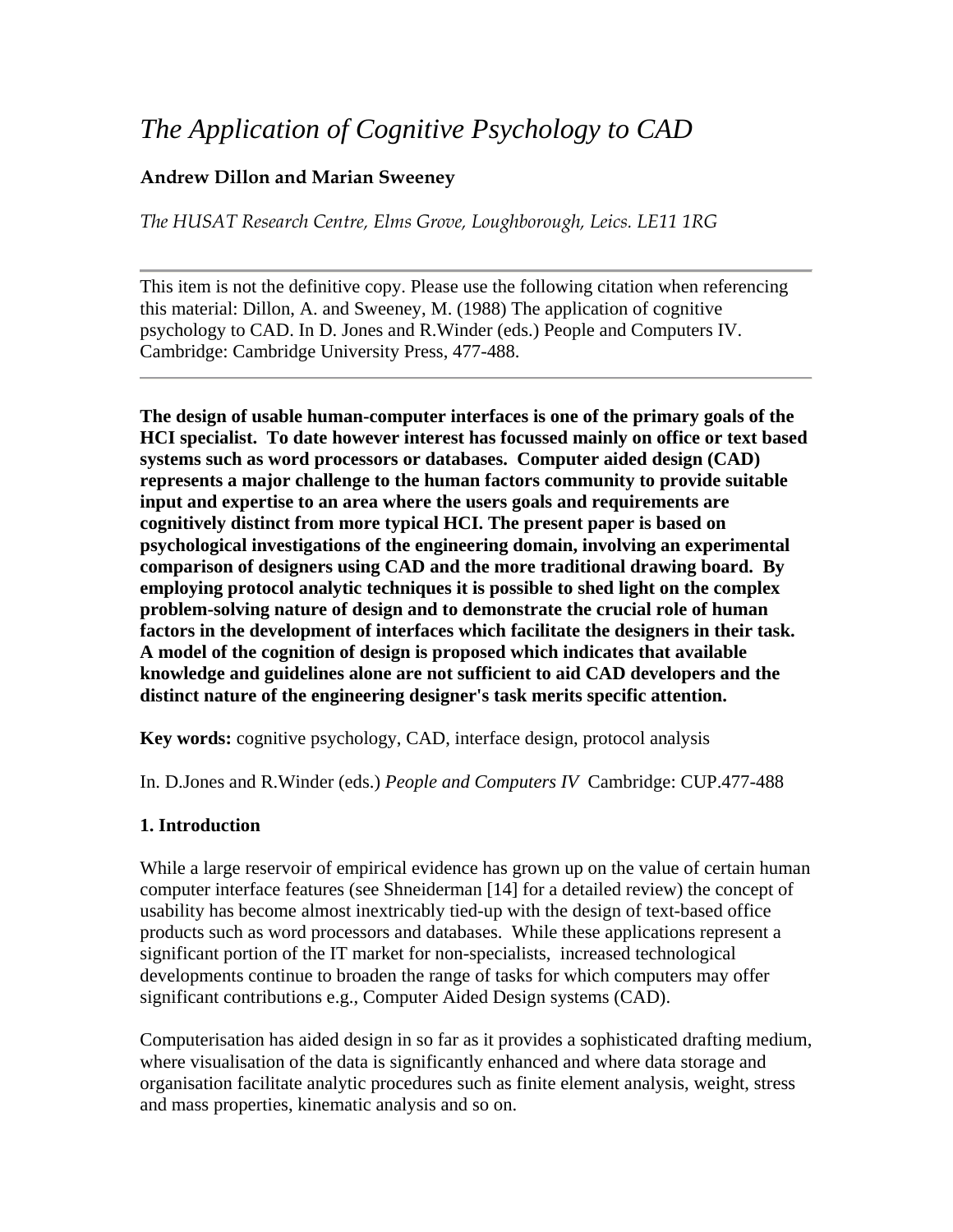# *The Application of Cognitive Psychology to CAD*

## **Andrew Dillon and Marian Sweeney**

*The HUSAT Research Centre, Elms Grove, Loughborough, Leics. LE11 1RG*

This item is not the definitive copy. Please use the following citation when referencing this material: Dillon, A. and Sweeney, M. (1988) The application of cognitive psychology to CAD. In D. Jones and R.Winder (eds.) People and Computers IV. Cambridge: Cambridge University Press, 477-488.

**The design of usable human-computer interfaces is one of the primary goals of the HCI specialist. To date however interest has focussed mainly on office or text based systems such as word processors or databases. Computer aided design (CAD) represents a major challenge to the human factors community to provide suitable input and expertise to an area where the users goals and requirements are cognitively distinct from more typical HCI. The present paper is based on psychological investigations of the engineering domain, involving an experimental comparison of designers using CAD and the more traditional drawing board. By employing protocol analytic techniques it is possible to shed light on the complex problem-solving nature of design and to demonstrate the crucial role of human factors in the development of interfaces which facilitate the designers in their task. A model of the cognition of design is proposed which indicates that available knowledge and guidelines alone are not sufficient to aid CAD developers and the distinct nature of the engineering designer's task merits specific attention.**

**Key words:** cognitive psychology, CAD, interface design, protocol analysis

In. D.Jones and R.Winder (eds.) *People and Computers IV* Cambridge: CUP.477-488

#### **1. Introduction**

While a large reservoir of empirical evidence has grown up on the value of certain human computer interface features (see Shneiderman [14] for a detailed review) the concept of usability has become almost inextricably tied-up with the design of text-based office products such as word processors and databases. While these applications represent a significant portion of the IT market for non-specialists, increased technological developments continue to broaden the range of tasks for which computers may offer significant contributions e.g., Computer Aided Design systems (CAD).

Computerisation has aided design in so far as it provides a sophisticated drafting medium, where visualisation of the data is significantly enhanced and where data storage and organisation facilitate analytic procedures such as finite element analysis, weight, stress and mass properties, kinematic analysis and so on.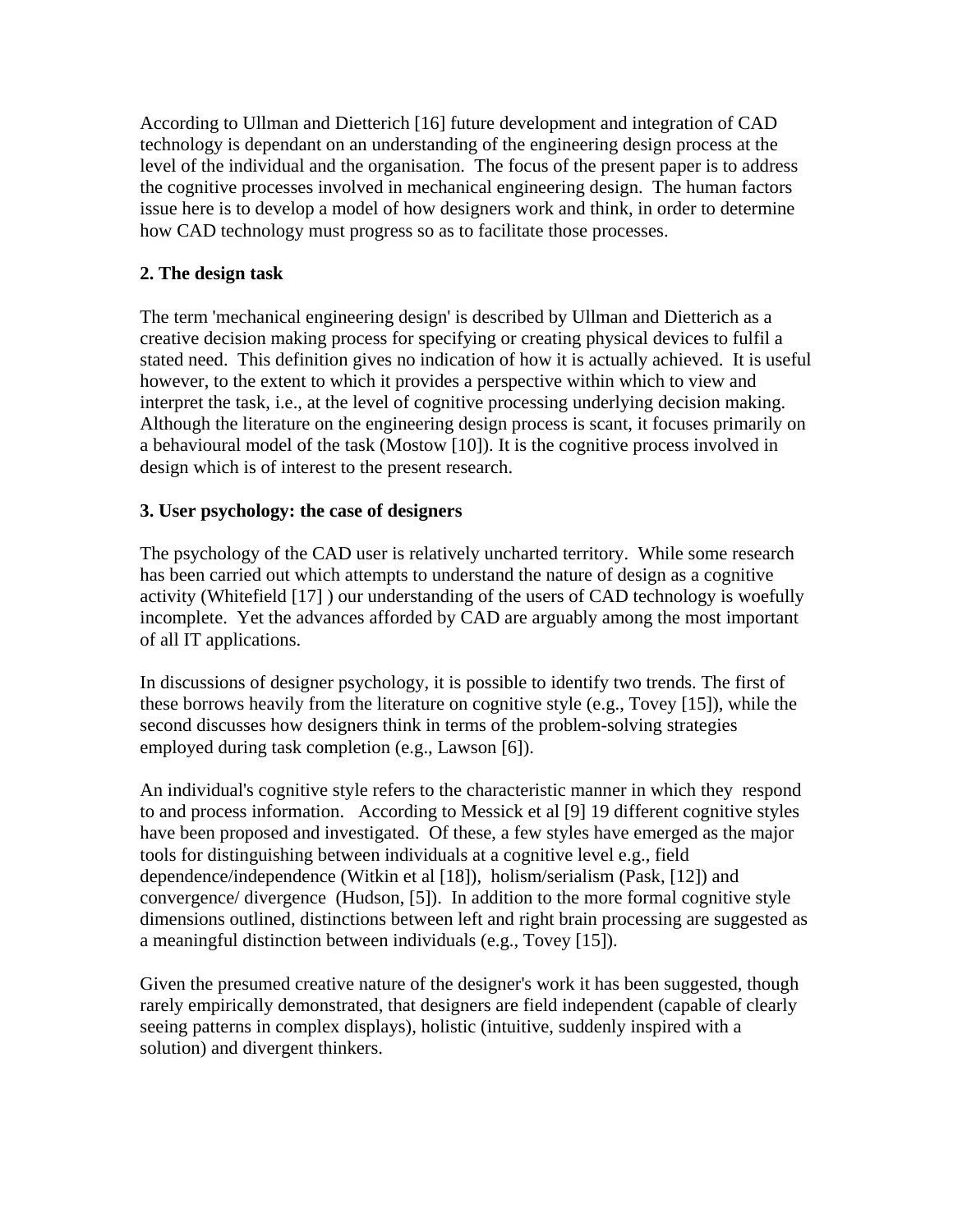According to Ullman and Dietterich [16] future development and integration of CAD technology is dependant on an understanding of the engineering design process at the level of the individual and the organisation. The focus of the present paper is to address the cognitive processes involved in mechanical engineering design. The human factors issue here is to develop a model of how designers work and think, in order to determine how CAD technology must progress so as to facilitate those processes.

## **2. The design task**

The term 'mechanical engineering design' is described by Ullman and Dietterich as a creative decision making process for specifying or creating physical devices to fulfil a stated need. This definition gives no indication of how it is actually achieved. It is useful however, to the extent to which it provides a perspective within which to view and interpret the task, i.e., at the level of cognitive processing underlying decision making. Although the literature on the engineering design process is scant, it focuses primarily on a behavioural model of the task (Mostow [10]). It is the cognitive process involved in design which is of interest to the present research.

#### **3. User psychology: the case of designers**

The psychology of the CAD user is relatively uncharted territory. While some research has been carried out which attempts to understand the nature of design as a cognitive activity (Whitefield [17] ) our understanding of the users of CAD technology is woefully incomplete. Yet the advances afforded by CAD are arguably among the most important of all IT applications.

In discussions of designer psychology, it is possible to identify two trends. The first of these borrows heavily from the literature on cognitive style (e.g., Tovey [15]), while the second discusses how designers think in terms of the problem-solving strategies employed during task completion (e.g., Lawson [6]).

An individual's cognitive style refers to the characteristic manner in which they respond to and process information. According to Messick et al [9] 19 different cognitive styles have been proposed and investigated. Of these, a few styles have emerged as the major tools for distinguishing between individuals at a cognitive level e.g., field dependence/independence (Witkin et al [18]), holism/serialism (Pask, [12]) and convergence/ divergence (Hudson, [5]). In addition to the more formal cognitive style dimensions outlined, distinctions between left and right brain processing are suggested as a meaningful distinction between individuals (e.g., Tovey [15]).

Given the presumed creative nature of the designer's work it has been suggested, though rarely empirically demonstrated, that designers are field independent (capable of clearly seeing patterns in complex displays), holistic (intuitive, suddenly inspired with a solution) and divergent thinkers.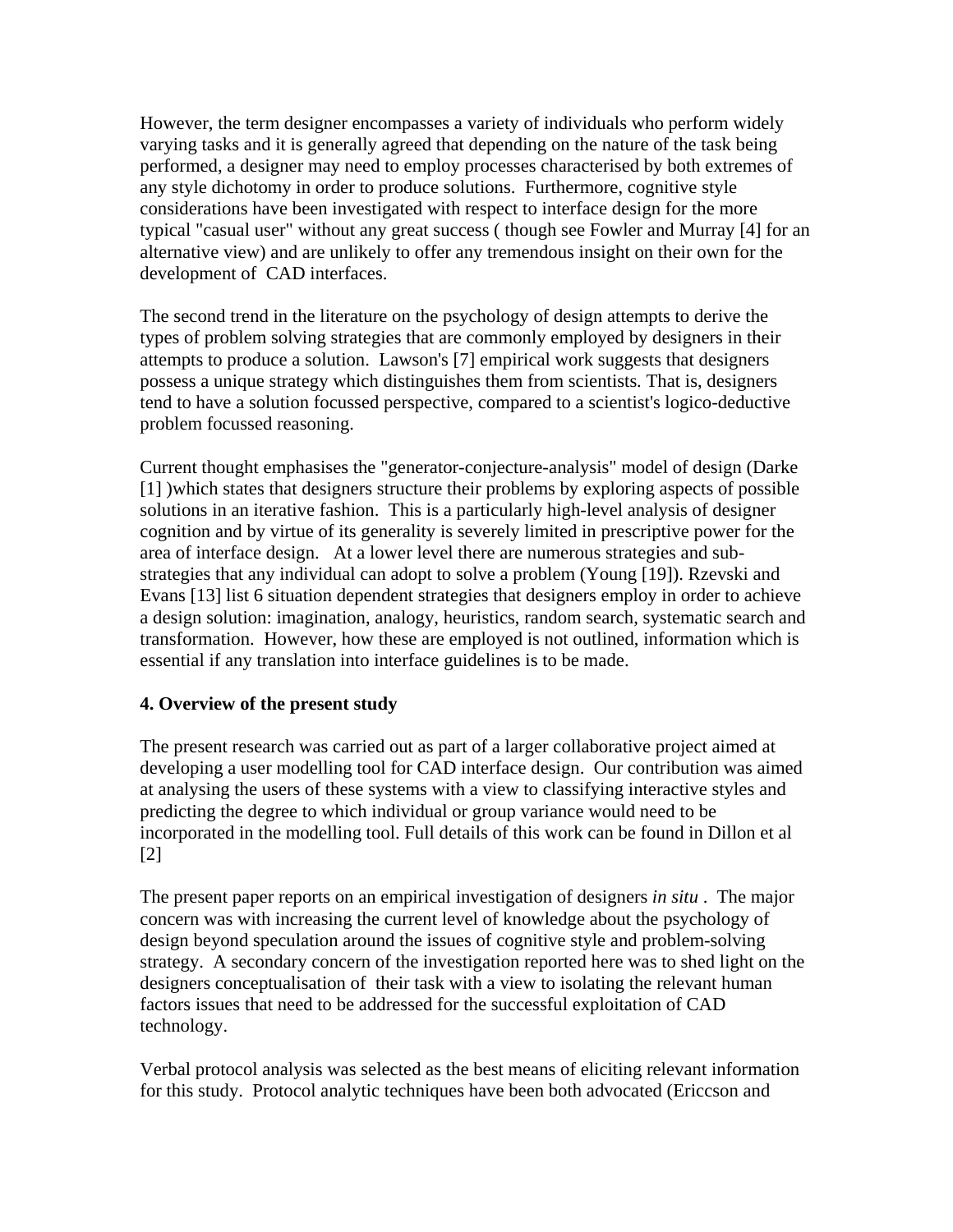However, the term designer encompasses a variety of individuals who perform widely varying tasks and it is generally agreed that depending on the nature of the task being performed, a designer may need to employ processes characterised by both extremes of any style dichotomy in order to produce solutions. Furthermore, cognitive style considerations have been investigated with respect to interface design for the more typical "casual user" without any great success ( though see Fowler and Murray [4] for an alternative view) and are unlikely to offer any tremendous insight on their own for the development of CAD interfaces.

The second trend in the literature on the psychology of design attempts to derive the types of problem solving strategies that are commonly employed by designers in their attempts to produce a solution. Lawson's [7] empirical work suggests that designers possess a unique strategy which distinguishes them from scientists. That is, designers tend to have a solution focussed perspective, compared to a scientist's logico-deductive problem focussed reasoning.

Current thought emphasises the "generator-conjecture-analysis" model of design (Darke [1] )which states that designers structure their problems by exploring aspects of possible solutions in an iterative fashion. This is a particularly high-level analysis of designer cognition and by virtue of its generality is severely limited in prescriptive power for the area of interface design. At a lower level there are numerous strategies and substrategies that any individual can adopt to solve a problem (Young [19]). Rzevski and Evans [13] list 6 situation dependent strategies that designers employ in order to achieve a design solution: imagination, analogy, heuristics, random search, systematic search and transformation. However, how these are employed is not outlined, information which is essential if any translation into interface guidelines is to be made.

#### **4. Overview of the present study**

The present research was carried out as part of a larger collaborative project aimed at developing a user modelling tool for CAD interface design. Our contribution was aimed at analysing the users of these systems with a view to classifying interactive styles and predicting the degree to which individual or group variance would need to be incorporated in the modelling tool. Full details of this work can be found in Dillon et al [2]

The present paper reports on an empirical investigation of designers *in situ* . The major concern was with increasing the current level of knowledge about the psychology of design beyond speculation around the issues of cognitive style and problem-solving strategy. A secondary concern of the investigation reported here was to shed light on the designers conceptualisation of their task with a view to isolating the relevant human factors issues that need to be addressed for the successful exploitation of CAD technology.

Verbal protocol analysis was selected as the best means of eliciting relevant information for this study. Protocol analytic techniques have been both advocated (Ericcson and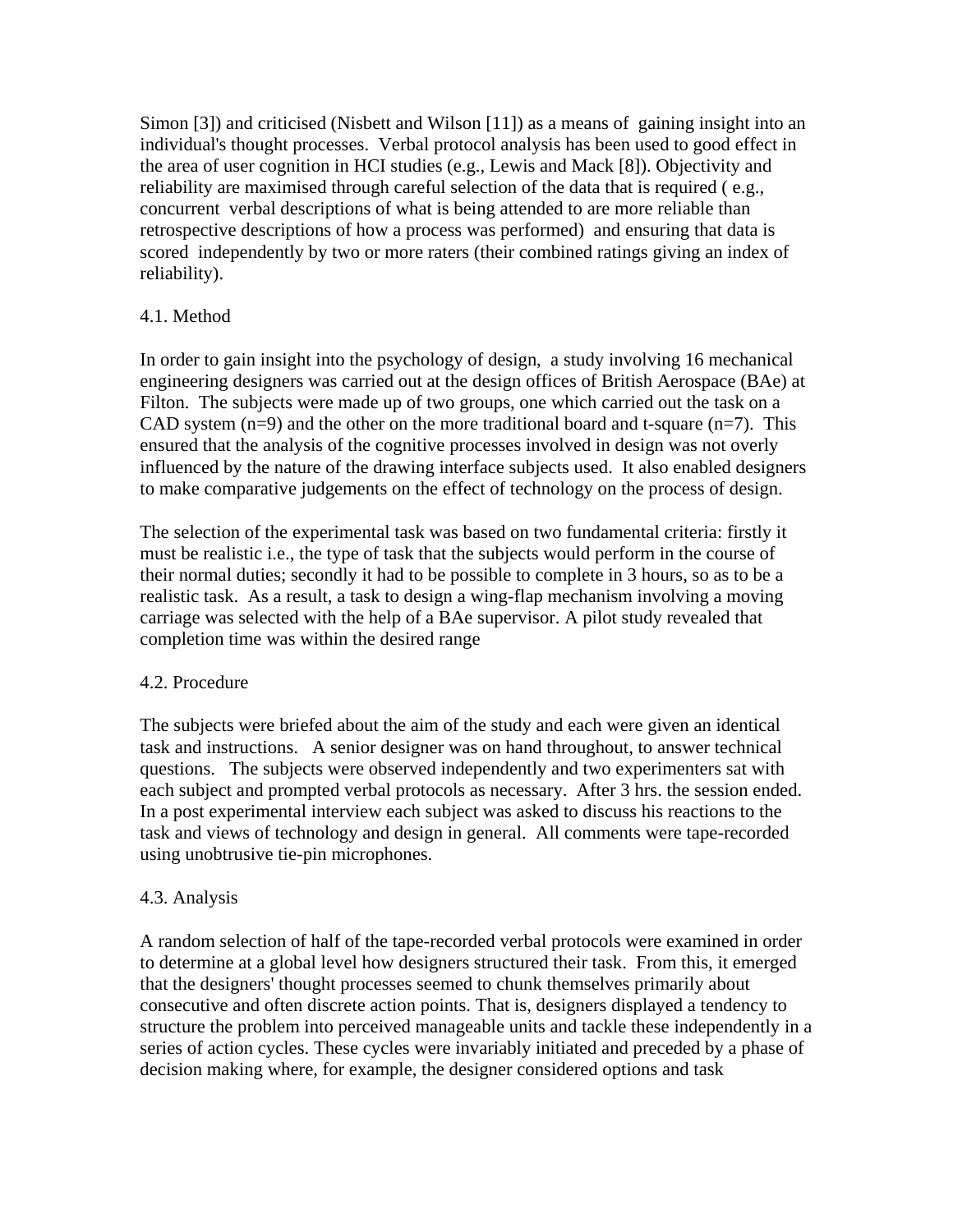Simon [3]) and criticised (Nisbett and Wilson [11]) as a means of gaining insight into an individual's thought processes. Verbal protocol analysis has been used to good effect in the area of user cognition in HCI studies (e.g., Lewis and Mack [8]). Objectivity and reliability are maximised through careful selection of the data that is required ( e.g., concurrent verbal descriptions of what is being attended to are more reliable than retrospective descriptions of how a process was performed) and ensuring that data is scored independently by two or more raters (their combined ratings giving an index of reliability).

## 4.1. Method

In order to gain insight into the psychology of design, a study involving 16 mechanical engineering designers was carried out at the design offices of British Aerospace (BAe) at Filton. The subjects were made up of two groups, one which carried out the task on a CAD system  $(n=9)$  and the other on the more traditional board and t-square  $(n=7)$ . This ensured that the analysis of the cognitive processes involved in design was not overly influenced by the nature of the drawing interface subjects used. It also enabled designers to make comparative judgements on the effect of technology on the process of design.

The selection of the experimental task was based on two fundamental criteria: firstly it must be realistic i.e., the type of task that the subjects would perform in the course of their normal duties; secondly it had to be possible to complete in 3 hours, so as to be a realistic task. As a result, a task to design a wing-flap mechanism involving a moving carriage was selected with the help of a BAe supervisor. A pilot study revealed that completion time was within the desired range

#### 4.2. Procedure

The subjects were briefed about the aim of the study and each were given an identical task and instructions. A senior designer was on hand throughout, to answer technical questions. The subjects were observed independently and two experimenters sat with each subject and prompted verbal protocols as necessary. After 3 hrs. the session ended. In a post experimental interview each subject was asked to discuss his reactions to the task and views of technology and design in general. All comments were tape-recorded using unobtrusive tie-pin microphones.

## 4.3. Analysis

A random selection of half of the tape-recorded verbal protocols were examined in order to determine at a global level how designers structured their task. From this, it emerged that the designers' thought processes seemed to chunk themselves primarily about consecutive and often discrete action points. That is, designers displayed a tendency to structure the problem into perceived manageable units and tackle these independently in a series of action cycles. These cycles were invariably initiated and preceded by a phase of decision making where, for example, the designer considered options and task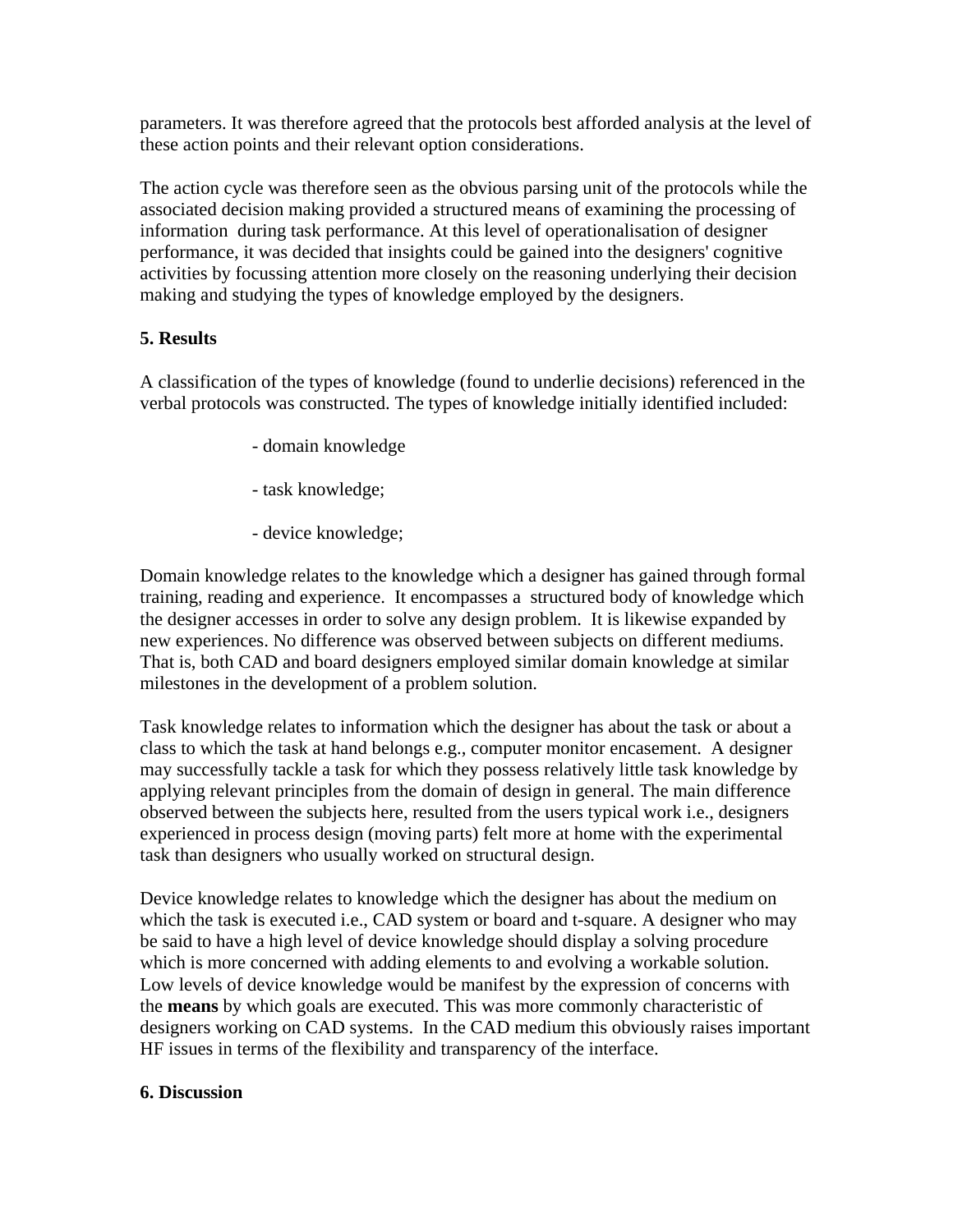parameters. It was therefore agreed that the protocols best afforded analysis at the level of these action points and their relevant option considerations.

The action cycle was therefore seen as the obvious parsing unit of the protocols while the associated decision making provided a structured means of examining the processing of information during task performance. At this level of operationalisation of designer performance, it was decided that insights could be gained into the designers' cognitive activities by focussing attention more closely on the reasoning underlying their decision making and studying the types of knowledge employed by the designers.

#### **5. Results**

A classification of the types of knowledge (found to underlie decisions) referenced in the verbal protocols was constructed. The types of knowledge initially identified included:

- domain knowledge
- task knowledge;
- device knowledge;

Domain knowledge relates to the knowledge which a designer has gained through formal training, reading and experience. It encompasses a structured body of knowledge which the designer accesses in order to solve any design problem. It is likewise expanded by new experiences. No difference was observed between subjects on different mediums. That is, both CAD and board designers employed similar domain knowledge at similar milestones in the development of a problem solution.

Task knowledge relates to information which the designer has about the task or about a class to which the task at hand belongs e.g., computer monitor encasement. A designer may successfully tackle a task for which they possess relatively little task knowledge by applying relevant principles from the domain of design in general. The main difference observed between the subjects here, resulted from the users typical work i.e., designers experienced in process design (moving parts) felt more at home with the experimental task than designers who usually worked on structural design.

Device knowledge relates to knowledge which the designer has about the medium on which the task is executed i.e., CAD system or board and t-square. A designer who may be said to have a high level of device knowledge should display a solving procedure which is more concerned with adding elements to and evolving a workable solution. Low levels of device knowledge would be manifest by the expression of concerns with the **means** by which goals are executed. This was more commonly characteristic of designers working on CAD systems. In the CAD medium this obviously raises important HF issues in terms of the flexibility and transparency of the interface.

#### **6. Discussion**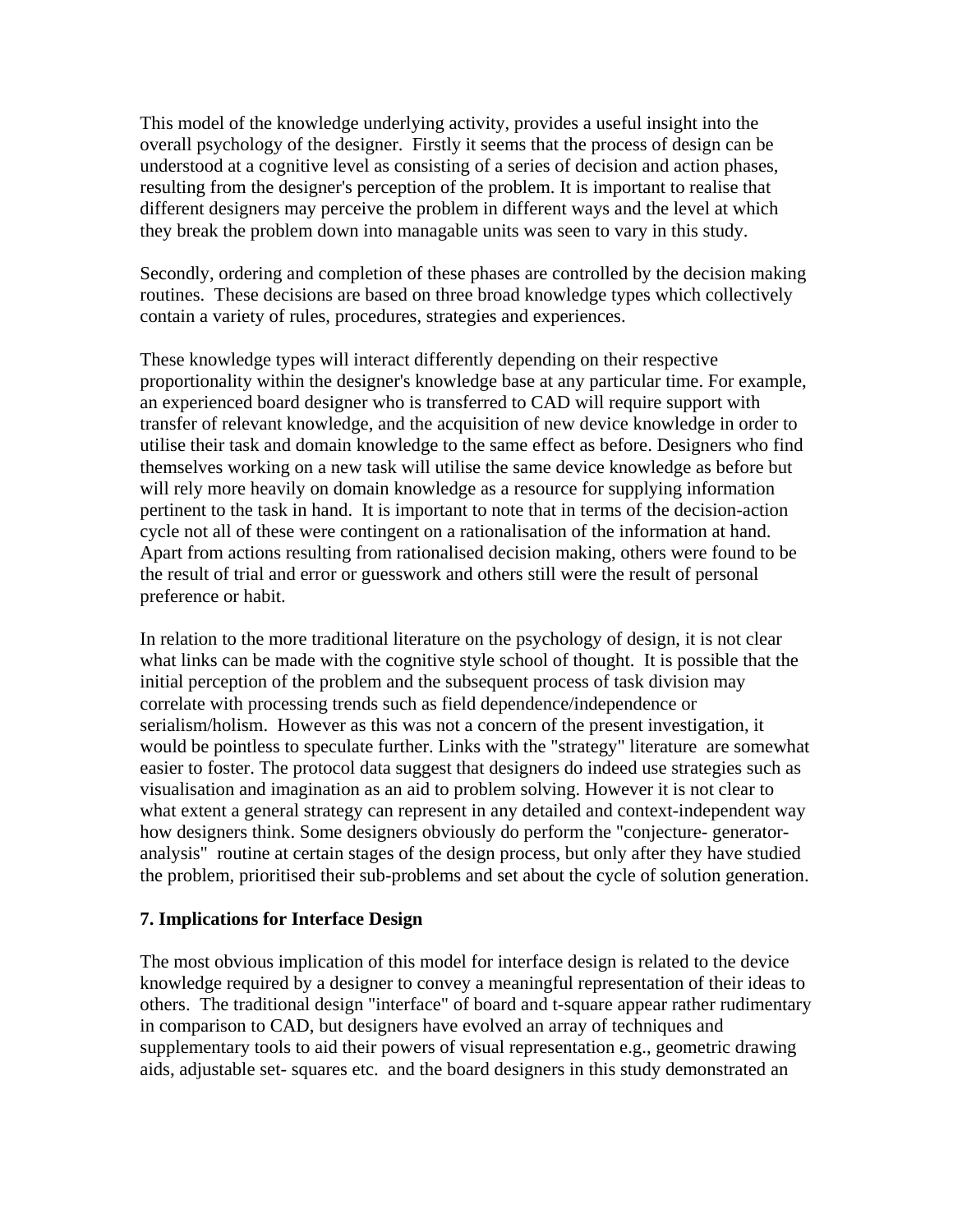This model of the knowledge underlying activity, provides a useful insight into the overall psychology of the designer. Firstly it seems that the process of design can be understood at a cognitive level as consisting of a series of decision and action phases, resulting from the designer's perception of the problem. It is important to realise that different designers may perceive the problem in different ways and the level at which they break the problem down into managable units was seen to vary in this study.

Secondly, ordering and completion of these phases are controlled by the decision making routines. These decisions are based on three broad knowledge types which collectively contain a variety of rules, procedures, strategies and experiences.

These knowledge types will interact differently depending on their respective proportionality within the designer's knowledge base at any particular time. For example, an experienced board designer who is transferred to CAD will require support with transfer of relevant knowledge, and the acquisition of new device knowledge in order to utilise their task and domain knowledge to the same effect as before. Designers who find themselves working on a new task will utilise the same device knowledge as before but will rely more heavily on domain knowledge as a resource for supplying information pertinent to the task in hand. It is important to note that in terms of the decision-action cycle not all of these were contingent on a rationalisation of the information at hand. Apart from actions resulting from rationalised decision making, others were found to be the result of trial and error or guesswork and others still were the result of personal preference or habit.

In relation to the more traditional literature on the psychology of design, it is not clear what links can be made with the cognitive style school of thought. It is possible that the initial perception of the problem and the subsequent process of task division may correlate with processing trends such as field dependence/independence or serialism/holism. However as this was not a concern of the present investigation, it would be pointless to speculate further. Links with the "strategy" literature are somewhat easier to foster. The protocol data suggest that designers do indeed use strategies such as visualisation and imagination as an aid to problem solving. However it is not clear to what extent a general strategy can represent in any detailed and context-independent way how designers think. Some designers obviously do perform the "conjecture- generatoranalysis" routine at certain stages of the design process, but only after they have studied the problem, prioritised their sub-problems and set about the cycle of solution generation.

#### **7. Implications for Interface Design**

The most obvious implication of this model for interface design is related to the device knowledge required by a designer to convey a meaningful representation of their ideas to others. The traditional design "interface" of board and t-square appear rather rudimentary in comparison to CAD, but designers have evolved an array of techniques and supplementary tools to aid their powers of visual representation e.g., geometric drawing aids, adjustable set- squares etc. and the board designers in this study demonstrated an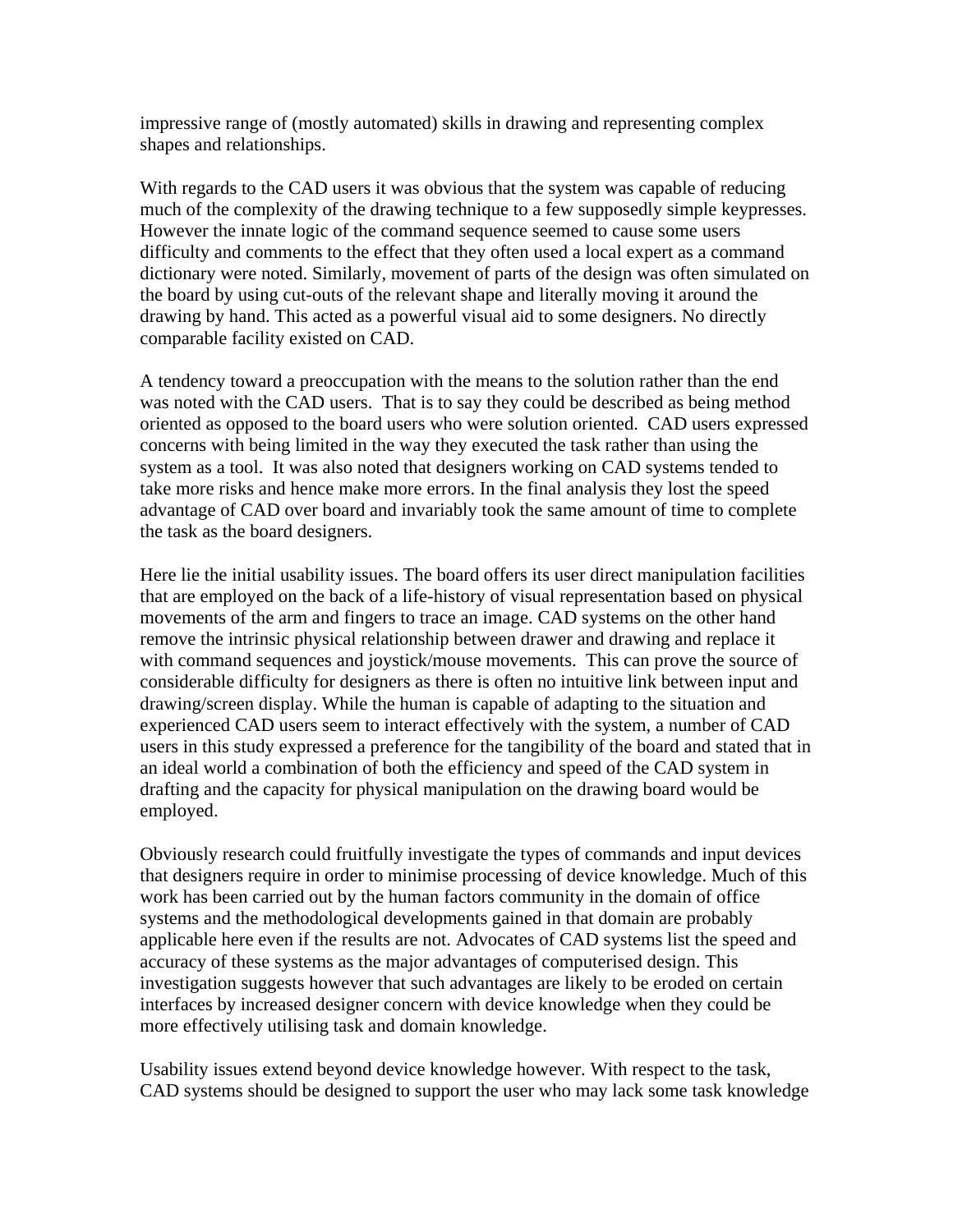impressive range of (mostly automated) skills in drawing and representing complex shapes and relationships.

With regards to the CAD users it was obvious that the system was capable of reducing much of the complexity of the drawing technique to a few supposedly simple keypresses. However the innate logic of the command sequence seemed to cause some users difficulty and comments to the effect that they often used a local expert as a command dictionary were noted. Similarly, movement of parts of the design was often simulated on the board by using cut-outs of the relevant shape and literally moving it around the drawing by hand. This acted as a powerful visual aid to some designers. No directly comparable facility existed on CAD.

A tendency toward a preoccupation with the means to the solution rather than the end was noted with the CAD users. That is to say they could be described as being method oriented as opposed to the board users who were solution oriented. CAD users expressed concerns with being limited in the way they executed the task rather than using the system as a tool. It was also noted that designers working on CAD systems tended to take more risks and hence make more errors. In the final analysis they lost the speed advantage of CAD over board and invariably took the same amount of time to complete the task as the board designers.

Here lie the initial usability issues. The board offers its user direct manipulation facilities that are employed on the back of a life-history of visual representation based on physical movements of the arm and fingers to trace an image. CAD systems on the other hand remove the intrinsic physical relationship between drawer and drawing and replace it with command sequences and joystick/mouse movements. This can prove the source of considerable difficulty for designers as there is often no intuitive link between input and drawing/screen display. While the human is capable of adapting to the situation and experienced CAD users seem to interact effectively with the system, a number of CAD users in this study expressed a preference for the tangibility of the board and stated that in an ideal world a combination of both the efficiency and speed of the CAD system in drafting and the capacity for physical manipulation on the drawing board would be employed.

Obviously research could fruitfully investigate the types of commands and input devices that designers require in order to minimise processing of device knowledge. Much of this work has been carried out by the human factors community in the domain of office systems and the methodological developments gained in that domain are probably applicable here even if the results are not. Advocates of CAD systems list the speed and accuracy of these systems as the major advantages of computerised design. This investigation suggests however that such advantages are likely to be eroded on certain interfaces by increased designer concern with device knowledge when they could be more effectively utilising task and domain knowledge.

Usability issues extend beyond device knowledge however. With respect to the task, CAD systems should be designed to support the user who may lack some task knowledge